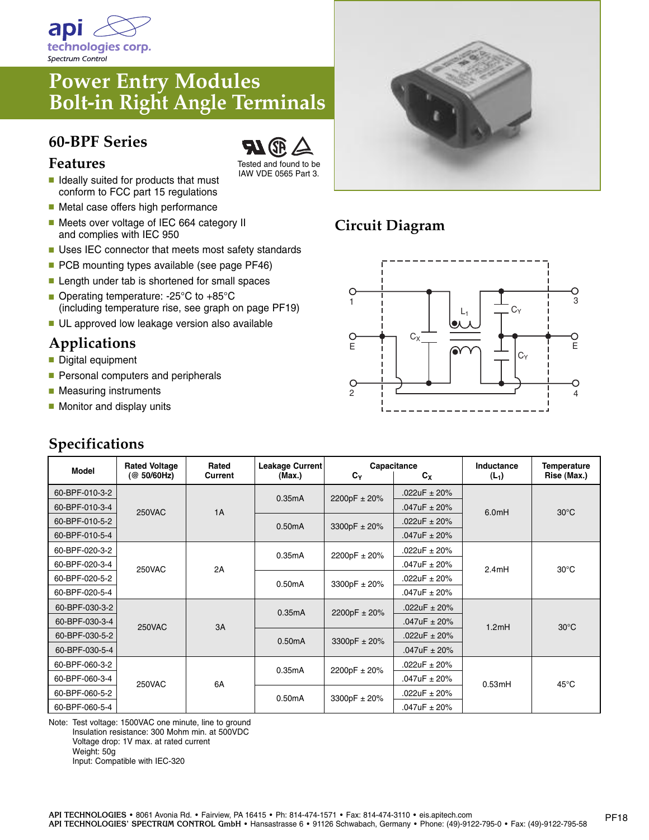

# **Power Entry Modules Bolt-in Right Angle Terminals**

#### **60-BPF Series**



- **■** Ideally suited for products that must conform to FCC part 15 regulations
- Metal case offers high performance
- Meets over voltage of IEC 664 category II and complies with IEC 950
- Uses IEC connector that meets most safety standards
- PCB mounting types available (see page PF46)
- Length under tab is shortened for small spaces
- Operating temperature: -25°C to +85°C (including temperature rise, see graph on page PF19)
- UL approved low leakage version also available

## **Applications**

- Digital equipment
- Personal computers and peripherals
- Measuring instruments
- Monitor and display units

### **Specifications**





## **Circuit Diagram**



| <b>Model</b>   | <b>Rated Voltage</b><br>(@ 50/60Hz) | Rated<br>Current | Leakage Current<br>(Max.) | Capacitance<br>$c_{x}$<br>$c_{\rm y}$ |                  | Inductance<br>$(L_1)$ | <b>Temperature</b><br>Rise (Max.) |
|----------------|-------------------------------------|------------------|---------------------------|---------------------------------------|------------------|-----------------------|-----------------------------------|
| 60-BPF-010-3-2 | <b>250VAC</b>                       | 1A               | 0.35mA                    | 2200pF ± 20%                          | $.022uF \pm 20%$ | 6.0mH                 | $30^{\circ}$ C                    |
| 60-BPF-010-3-4 |                                     |                  |                           |                                       | $.047uF \pm 20%$ |                       |                                   |
| 60-BPF-010-5-2 |                                     |                  | 0.50mA                    | 3300pF $\pm$ 20%                      | $.022$ uF ± 20%  |                       |                                   |
| 60-BPF-010-5-4 |                                     |                  |                           |                                       | $.047$ uF ± 20%  |                       |                                   |
| 60-BPF-020-3-2 | <b>250VAC</b>                       | 2A               | 0.35mA                    | 2200pF ± 20%                          | .022uF ± 20%     | 2.4mH                 | $30^{\circ}$ C                    |
| 60-BPF-020-3-4 |                                     |                  |                           |                                       | .047uF ± 20%     |                       |                                   |
| 60-BPF-020-5-2 |                                     |                  | 0.50mA                    | 3300pF $\pm$ 20%                      | .022uF ± 20%     |                       |                                   |
| 60-BPF-020-5-4 |                                     |                  |                           |                                       | .047uF ± 20%     |                       |                                   |
| 60-BPF-030-3-2 | <b>250VAC</b>                       | 3A               | 0.35mA                    | 2200pF ± 20%                          | .022uF $\pm$ 20% | 1.2mH                 | $30^{\circ}$ C                    |
| 60-BPF-030-3-4 |                                     |                  |                           |                                       | $.047uF \pm 20%$ |                       |                                   |
| 60-BPF-030-5-2 |                                     |                  | 0.50mA                    | 3300pF ± 20%                          | .022uF $\pm$ 20% |                       |                                   |
| 60-BPF-030-5-4 |                                     |                  |                           |                                       | $.047uF \pm 20%$ |                       |                                   |
| 60-BPF-060-3-2 | <b>250VAC</b>                       | 6A               | 0.35mA                    | 2200pF ± 20%                          | $.022uF \pm 20%$ | 0.53mH                | $45^{\circ}$ C                    |
| 60-BPF-060-3-4 |                                     |                  |                           |                                       | .047uF ± 20%     |                       |                                   |
| 60-BPF-060-5-2 |                                     |                  | 0.50mA                    | 3300pF ± 20%                          | .022uF ± 20%     |                       |                                   |
| 60-BPF-060-5-4 |                                     |                  |                           |                                       | .047uF ± 20%     |                       |                                   |

Note: Test voltage: 1500VAC one minute, line to ground Insulation resistance: 300 Mohm min. at 500VDC Voltage drop: 1V max. at rated current Weight: 50g Input: Compatible with IEC-320